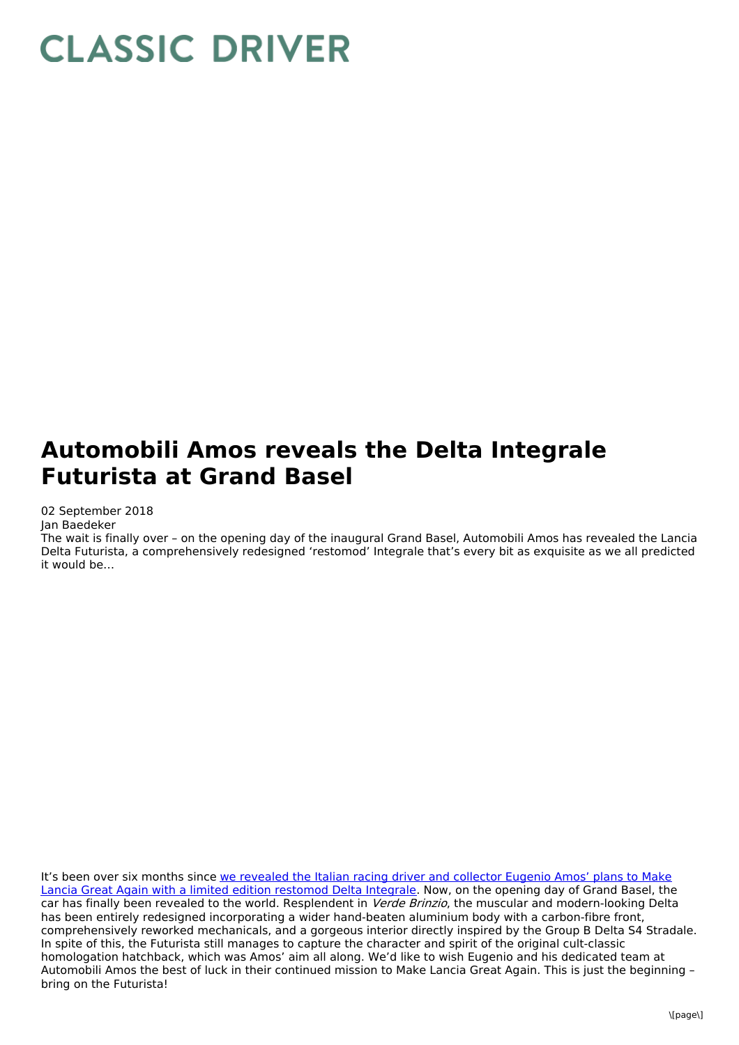## **CLASSIC DRIVER**

## **Automobili Amos reveals the Delta Integrale Futurista at Grand Basel**

02 September 2018

Jan Baedeker

The wait is finally over – on the opening day of the inaugural Grand Basel, Automobili Amos has revealed the Lancia Delta Futurista, a comprehensively redesigned 'restomod' Integrale that's every bit as exquisite as we all predicted it would be…

It's been over six months since we revealed the Italian racing driver and collector Eugenio Amos' plans to Make Lancia Great Again with a limited edition restomod Delta [Integrale.](http://www.classicdriver.com/en/article/cars/meet-man-behind-automobili-amos-hottest-car-hype-year) Now, on the opening day of Grand Basel, the car has finally been revealed to the world. Resplendent in Verde Brinzio, the muscular and modern-looking Delta has been entirely redesigned incorporating a wider hand-beaten aluminium body with a carbon-fibre front, comprehensively reworked mechanicals, and a gorgeous interior directly inspired by the Group B Delta S4 Stradale. In spite of this, the Futurista still manages to capture the character and spirit of the original cult-classic homologation hatchback, which was Amos' aim all along. We'd like to wish Eugenio and his dedicated team at Automobili Amos the best of luck in their continued mission to Make Lancia Great Again. This is just the beginning – bring on the Futurista!